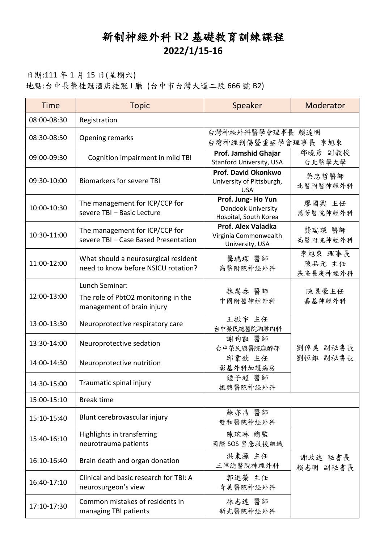## 新制神經外科 **R2** 基礎教育訓練課程 **2022/1/15-16**

## 日期:111 年 1 月 15 日(星期六) 地點:台中長榮桂冠酒店桂冠 I 廳 (台中市台灣大道二段 666 號 B2)

| <b>Time</b> | <b>Topic</b>                                                                        | Speaker                                                          | Moderator                     |  |
|-------------|-------------------------------------------------------------------------------------|------------------------------------------------------------------|-------------------------------|--|
| 08:00-08:30 | Registration                                                                        |                                                                  |                               |  |
| 08:30-08:50 | Opening remarks                                                                     | 台灣神經外科醫學會理事長 賴達明                                                 |                               |  |
|             |                                                                                     | 台灣神經創傷暨重症學會理事長 李旭東                                               |                               |  |
| 09:00-09:30 | Cognition impairment in mild TBI                                                    | Prof. Jamshid Ghajar<br>Stanford University, USA                 | 邱曉彥 副教授<br>台北醫學大學             |  |
| 09:30-10:00 | <b>Biomarkers for severe TBI</b>                                                    | Prof. David Okonkwo<br>University of Pittsburgh,<br><b>USA</b>   | 吳忠哲醫師<br>北醫附醫神經外科             |  |
| 10:00-10:30 | The management for ICP/CCP for<br>severe TBI - Basic Lecture                        | Prof. Jung-Ho Yun<br>Dandook University<br>Hospital, South Korea | 廖國興 主任<br>萬芳醫院神經外科            |  |
| 10:30-11:00 | The management for ICP/CCP for<br>severe TBI - Case Based Presentation              | Prof. Alex Valadka<br>Virginia Commonwealth<br>University, USA   | 龔瑞琛 醫師<br>高醫附院神經外科            |  |
| 11:00-12:00 | What should a neurosurgical resident<br>need to know before NSICU rotation?         | 龔瑞琛 醫師<br>高醫附院神經外科                                               | 李旭東 理事長<br>陳品元 主任<br>基隆長庚神經外科 |  |
| 12:00-13:00 | Lunch Seminar:<br>The role of PbtO2 monitoring in the<br>management of brain injury | 魏嵩泰 醫師<br>中國附醫神經外科                                               | 陳昱豪主任<br>嘉基神經外科               |  |
| 13:00-13:30 | Neuroprotective respiratory care                                                    | 王振宇 主任<br>台中榮民總醫院胸腔內科                                            |                               |  |
| 13:30-14:00 | Neuroprotective sedation                                                            | 謝昀叡 醫師<br>台中榮民總醫院麻醉部                                             | 劉倬昊 副秘書長                      |  |
| 14:00-14:30 | Neuroprotective nutrition                                                           | 邱韋欽 主任<br>彰基外科加護病房                                               | 劉恆維 副秘書長                      |  |
| 14:30-15:00 | Traumatic spinal injury                                                             | 鐘子超 醫師<br>振興醫院神經外科                                               |                               |  |
| 15:00-15:10 | <b>Break time</b>                                                                   |                                                                  |                               |  |
| 15:10-15:40 | Blunt cerebrovascular injury                                                        | 蘇亦昌 醫師<br>雙和醫院神經外科                                               |                               |  |
| 15:40-16:10 | Highlights in transferring<br>neurotrauma patients                                  | 陳琬琳 總監<br>國際 SOS 緊急救援組織                                          |                               |  |
| 16:10-16:40 | Brain death and organ donation                                                      | 洪東源 主任<br>三軍總醫院神經外科                                              | 謝政達 秘書長<br>賴志明 副秘書長           |  |
| 16:40-17:10 | Clinical and basic research for TBI: A<br>neurosurgeon's view                       | 郭進榮 主任<br>奇美醫院神經外科                                               |                               |  |
| 17:10-17:30 | Common mistakes of residents in<br>managing TBI patients                            | 林志達 醫師<br>新光醫院神經外科                                               |                               |  |